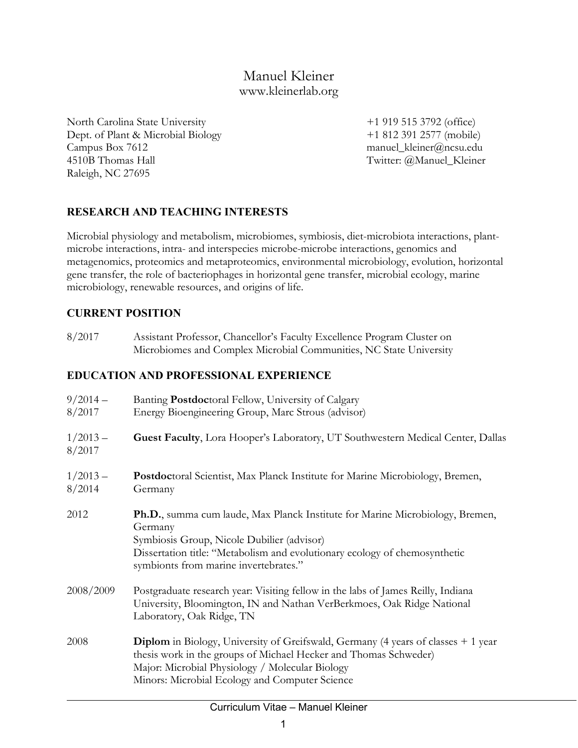# Manuel Kleiner www.kleinerlab.org

North Carolina State University +1 919 515 3792 (office) Dept. of Plant & Microbial Biology +1 812 391 2577 (mobile) Campus Box 7612 manuel\_kleiner@ncsu.edu 4510B Thomas Hall Twitter: @Manuel\_Kleiner Raleigh, NC 27695

### **RESEARCH AND TEACHING INTERESTS**

Microbial physiology and metabolism, microbiomes, symbiosis, diet-microbiota interactions, plantmicrobe interactions, intra- and interspecies microbe-microbe interactions, genomics and metagenomics, proteomics and metaproteomics, environmental microbiology, evolution, horizontal gene transfer, the role of bacteriophages in horizontal gene transfer, microbial ecology, marine microbiology, renewable resources, and origins of life.

#### **CURRENT POSITION**

| 8/2017 | Assistant Professor, Chancellor's Faculty Excellence Program Cluster on |
|--------|-------------------------------------------------------------------------|
|        | Microbiomes and Complex Microbial Communities, NC State University      |

#### **EDUCATION AND PROFESSIONAL EXPERIENCE**

| $9/2014-$<br>8/2017 | Banting Postdoctoral Fellow, University of Calgary<br>Energy Bioengineering Group, Marc Strous (advisor)                                                                                                                                                                              |
|---------------------|---------------------------------------------------------------------------------------------------------------------------------------------------------------------------------------------------------------------------------------------------------------------------------------|
| $1/2013-$<br>8/2017 | Guest Faculty, Lora Hooper's Laboratory, UT Southwestern Medical Center, Dallas                                                                                                                                                                                                       |
| $1/2013-$<br>8/2014 | <b>Postdoctoral Scientist, Max Planck Institute for Marine Microbiology, Bremen,</b><br>Germany                                                                                                                                                                                       |
| 2012                | <b>Ph.D.</b> , summa cum laude, Max Planck Institute for Marine Microbiology, Bremen,<br>Germany<br>Symbiosis Group, Nicole Dubilier (advisor)<br>Dissertation title: "Metabolism and evolutionary ecology of chemosynthetic<br>symbionts from marine invertebrates."                 |
| 2008/2009           | Postgraduate research year: Visiting fellow in the labs of James Reilly, Indiana<br>University, Bloomington, IN and Nathan VerBerkmoes, Oak Ridge National<br>Laboratory, Oak Ridge, TN                                                                                               |
| 2008                | <b>Diplom</b> in Biology, University of Greifswald, Germany $(4 \text{ years of classes } + 1 \text{ year})$<br>thesis work in the groups of Michael Hecker and Thomas Schweder)<br>Major: Microbial Physiology / Molecular Biology<br>Minors: Microbial Ecology and Computer Science |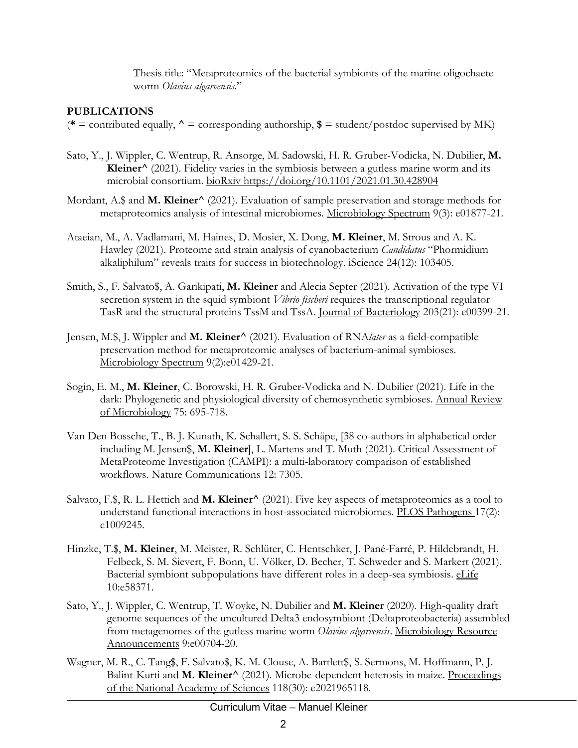Thesis title: "Metaproteomics of the bacterial symbionts of the marine oligochaete worm *Olavius algarvensis*."

#### **PUBLICATIONS**

 $(* =$  contributed equally,  $\uparrow$  = corresponding authorship,  $\$ =$  student/postdoc supervised by MK)

- Sato, Y., J. Wippler, C. Wentrup, R. Ansorge, M. Sadowski, H. R. Gruber-Vodicka, N. Dubilier, **M. Kleiner^** (2021). Fidelity varies in the symbiosis between a gutless marine worm and its microbial consortium. bioRxiv https://doi.org/10.1101/2021.01.30.428904
- Mordant, A.\$ and **M. Kleiner^** (2021). Evaluation of sample preservation and storage methods for metaproteomics analysis of intestinal microbiomes. Microbiology Spectrum 9(3): e01877-21.
- Ataeian, M., A. Vadlamani, M. Haines, D. Mosier, X. Dong, **M. Kleiner**, M. Strous and A. K. Hawley (2021). Proteome and strain analysis of cyanobacterium *Candidatus* "Phormidium alkaliphilum" reveals traits for success in biotechnology. iScience 24(12): 103405.
- Smith, S., F. Salvato\$, A. Garikipati, **M. Kleiner** and Alecia Septer (2021). Activation of the type VI secretion system in the squid symbiont *Vibrio fischeri* requires the transcriptional regulator TasR and the structural proteins TssM and TssA. Journal of Bacteriology 203(21): e00399-21.
- Jensen, M.\$, J. Wippler and **M. Kleiner^** (2021). Evaluation of RNA*later* as a field-compatible preservation method for metaproteomic analyses of bacterium-animal symbioses. Microbiology Spectrum 9(2):e01429-21.
- Sogin, E. M., **M. Kleiner**, C. Borowski, H. R. Gruber-Vodicka and N. Dubilier (2021). Life in the dark: Phylogenetic and physiological diversity of chemosynthetic symbioses. Annual Review of Microbiology 75: 695-718.
- Van Den Bossche, T., B. J. Kunath, K. Schallert, S. S. Schäpe, [38 co-authors in alphabetical order including M. Jensen\$, **M. Kleiner**], L. Martens and T. Muth (2021). Critical Assessment of MetaProteome Investigation (CAMPI): a multi-laboratory comparison of established workflows. Nature Communications 12: 7305.
- Salvato, F.\$, R. L. Hettich and **M. Kleiner^** (2021). Five key aspects of metaproteomics as a tool to understand functional interactions in host-associated microbiomes. PLOS Pathogens 17(2): e1009245.
- Hinzke, T.\$, **M. Kleiner**, M. Meister, R. Schlüter, C. Hentschker, J. Pané-Farré, P. Hildebrandt, H. Felbeck, S. M. Sievert, F. Bonn, U. Völker, D. Becher, T. Schweder and S. Markert (2021). Bacterial symbiont subpopulations have different roles in a deep-sea symbiosis. eLife 10:e58371.
- Sato, Y., J. Wippler, C. Wentrup, T. Woyke, N. Dubilier and **M. Kleiner** (2020). High-quality draft genome sequences of the uncultured Delta3 endosymbiont (Deltaproteobacteria) assembled from metagenomes of the gutless marine worm *Olavius algarvensis*. Microbiology Resource Announcements 9:e00704-20.
- Wagner, M. R., C. Tang\$, F. Salvato\$, K. M. Clouse, A. Bartlett\$, S. Sermons, M. Hoffmann, P. J. Balint-Kurti and M. Kleiner<sup>^</sup> (2021). Microbe-dependent heterosis in maize. Proceedings of the National Academy of Sciences 118(30): e2021965118.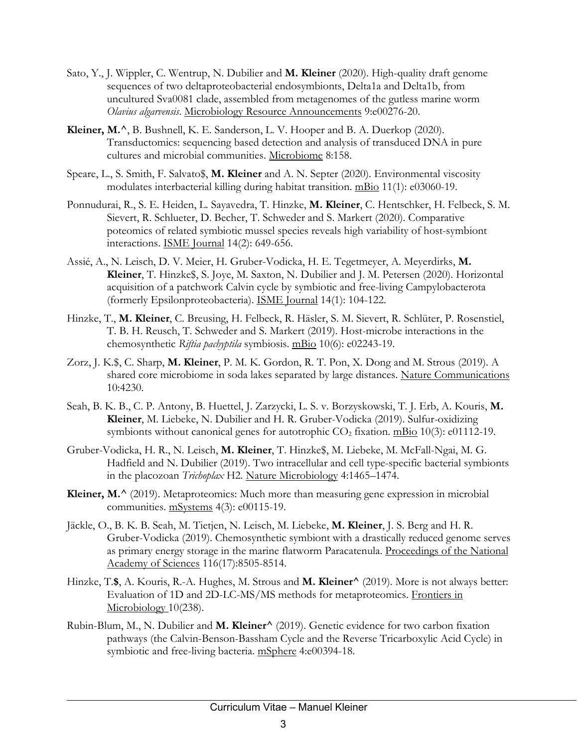- Sato, Y., J. Wippler, C. Wentrup, N. Dubilier and **M. Kleiner** (2020). High-quality draft genome sequences of two deltaproteobacterial endosymbionts, Delta1a and Delta1b, from uncultured Sva0081 clade, assembled from metagenomes of the gutless marine worm *Olavius algarvensis*. Microbiology Resource Announcements 9:e00276-20.
- **Kleiner, M.^**, B. Bushnell, K. E. Sanderson, L. V. Hooper and B. A. Duerkop (2020). Transductomics: sequencing based detection and analysis of transduced DNA in pure cultures and microbial communities. Microbiome 8:158.
- Speare, L., S. Smith, F. Salvato\$, **M. Kleiner** and A. N. Septer (2020). Environmental viscosity modulates interbacterial killing during habitat transition. mBio 11(1): e03060-19.
- Ponnudurai, R., S. E. Heiden, L. Sayavedra, T. Hinzke, **M. Kleiner**, C. Hentschker, H. Felbeck, S. M. Sievert, R. Schlueter, D. Becher, T. Schweder and S. Markert (2020). Comparative poteomics of related symbiotic mussel species reveals high variability of host-symbiont interactions. ISME Journal 14(2): 649-656.
- Assié, A., N. Leisch, D. V. Meier, H. Gruber-Vodicka, H. E. Tegetmeyer, A. Meyerdirks, **M. Kleiner**, T. Hinzke\$, S. Joye, M. Saxton, N. Dubilier and J. M. Petersen (2020). Horizontal acquisition of a patchwork Calvin cycle by symbiotic and free-living Campylobacterota (formerly Epsilonproteobacteria). ISME Journal 14(1): 104-122.
- Hinzke, T., **M. Kleiner**, C. Breusing, H. Felbeck, R. Häsler, S. M. Sievert, R. Schlüter, P. Rosenstiel, T. B. H. Reusch, T. Schweder and S. Markert (2019). Host-microbe interactions in the chemosynthetic *Riftia pachyptila* symbiosis. mBio 10(6): e02243-19.
- Zorz, J. K.\$, C. Sharp, **M. Kleiner**, P. M. K. Gordon, R. T. Pon, X. Dong and M. Strous (2019). A shared core microbiome in soda lakes separated by large distances. Nature Communications 10:4230.
- Seah, B. K. B., C. P. Antony, B. Huettel, J. Zarzycki, L. S. v. Borzyskowski, T. J. Erb, A. Kouris, **M. Kleiner**, M. Liebeke, N. Dubilier and H. R. Gruber-Vodicka (2019). Sulfur-oxidizing symbionts without canonical genes for autotrophic  $CO<sub>2</sub>$  fixation. mBio 10(3): e01112-19.
- Gruber-Vodicka, H. R., N. Leisch, **M. Kleiner**, T. Hinzke\$, M. Liebeke, M. McFall-Ngai, M. G. Hadfield and N. Dubilier (2019). Two intracellular and cell type-specific bacterial symbionts in the placozoan *Trichoplax* H2. Nature Microbiology 4:1465–1474.
- Kleiner, M.<sup>^</sup> (2019). Metaproteomics: Much more than measuring gene expression in microbial communities. mSystems 4(3): e00115-19.
- Jäckle, O., B. K. B. Seah, M. Tietjen, N. Leisch, M. Liebeke, **M. Kleiner**, J. S. Berg and H. R. Gruber-Vodicka (2019). Chemosynthetic symbiont with a drastically reduced genome serves as primary energy storage in the marine flatworm Paracatenula. Proceedings of the National Academy of Sciences 116(17):8505-8514.
- Hinzke, T.**\$**, A. Kouris, R.-A. Hughes, M. Strous and **M. Kleiner^** (2019). More is not always better: Evaluation of 1D and 2D-LC-MS/MS methods for metaproteomics. Frontiers in Microbiology 10(238).
- Rubin-Blum, M., N. Dubilier and **M. Kleiner^** (2019). Genetic evidence for two carbon fixation pathways (the Calvin-Benson-Bassham Cycle and the Reverse Tricarboxylic Acid Cycle) in symbiotic and free-living bacteria. mSphere 4:e00394-18.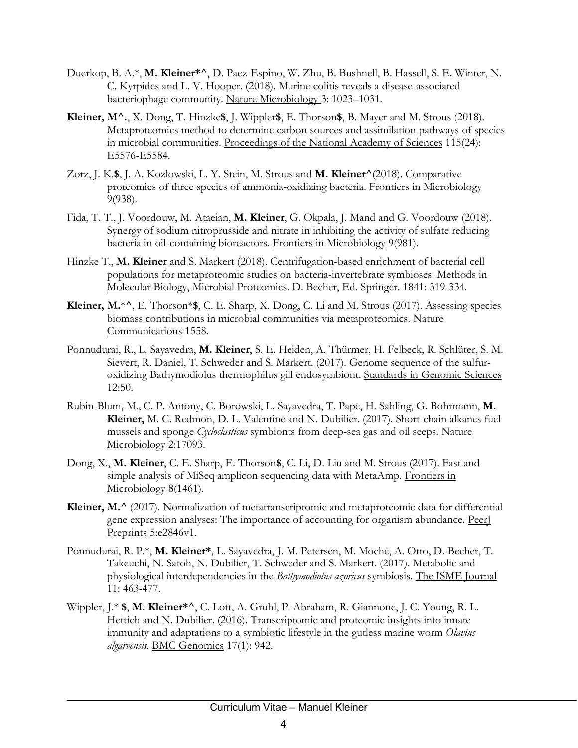- Duerkop, B. A.\*, **M. Kleiner\*^**, D. Paez-Espino, W. Zhu, B. Bushnell, B. Hassell, S. E. Winter, N. C. Kyrpides and L. V. Hooper. (2018). Murine colitis reveals a disease-associated bacteriophage community. Nature Microbiology 3: 1023–1031.
- **Kleiner, M^.**, X. Dong, T. Hinzke**\$**, J. Wippler**\$**, E. Thorson**\$**, B. Mayer and M. Strous (2018). Metaproteomics method to determine carbon sources and assimilation pathways of species in microbial communities. Proceedings of the National Academy of Sciences 115(24): E5576-E5584.
- Zorz, J. K.**\$**, J. A. Kozlowski, L. Y. Stein, M. Strous and **M. Kleiner^**(2018). Comparative proteomics of three species of ammonia-oxidizing bacteria. Frontiers in Microbiology 9(938).
- Fida, T. T., J. Voordouw, M. Ataeian, **M. Kleiner**, G. Okpala, J. Mand and G. Voordouw (2018). Synergy of sodium nitroprusside and nitrate in inhibiting the activity of sulfate reducing bacteria in oil-containing bioreactors. Frontiers in Microbiology 9(981).
- Hinzke T., **M. Kleiner** and S. Markert (2018). Centrifugation-based enrichment of bacterial cell populations for metaproteomic studies on bacteria-invertebrate symbioses. Methods in Molecular Biology, Microbial Proteomics. D. Becher, Ed. Springer. 1841: 319-334.
- **Kleiner, M.**\***^**, E. Thorson\***\$**, C. E. Sharp, X. Dong, C. Li and M. Strous (2017). [Assessing species](http://biorxiv.org/content/early/2017/04/25/130575.abstract)  [biomass contributions in microbial communities via metaproteomics.](http://biorxiv.org/content/early/2017/04/25/130575.abstract) Nature Communications 1558.
- Ponnudurai, R., L. Sayavedra, **M. Kleiner**, S. E. Heiden, A. Thürmer, H. Felbeck, R. Schlüter, S. M. Sievert, R. Daniel, T. Schweder and S. Markert. (2017). Genome sequence of the sulfuroxidizing Bathymodiolus thermophilus gill endosymbiont. Standards in Genomic Sciences 12:50.
- Rubin-Blum, M., C. P. Antony, C. Borowski, L. Sayavedra, T. Pape, H. Sahling, G. Bohrmann, **M. Kleiner,** M. C. Redmon, D. L. Valentine and N. Dubilier. (2017). Short-chain alkanes fuel mussels and sponge *Cycloclasticus* symbionts from deep-sea gas and oil seeps. Nature Microbiology 2:17093.
- Dong, X., **M. Kleiner**, C. E. Sharp, E. Thorson**\$**, C. Li, D. Liu and M. Strous (2017). Fast and simple analysis of MiSeq amplicon sequencing data with MetaAmp. Frontiers in Microbiology 8(1461).
- **Kleiner, M.^** (2017). Normalization of metatranscriptomic and metaproteomic data for differential gene expression analyses: The importance of accounting for organism abundance. PeerJ Preprints 5:e2846v1.
- Ponnudurai, R. P.\*, **M. Kleiner\***, L. Sayavedra, J. M. Petersen, M. Moche, A. Otto, D. Becher, T. Takeuchi, N. Satoh, N. Dubilier, T. Schweder and S. Markert. (2017). Metabolic and physiological interdependencies in the *Bathymodiolus azoricus* symbiosis. The ISME Journal 11: 463-477.
- Wippler, J.\* **\$**, **M. Kleiner\*^**, C. Lott, A. Gruhl, P. Abraham, R. Giannone, J. C. Young, R. L. Hettich and N. Dubilier. (2016). Transcriptomic and proteomic insights into innate immunity and adaptations to a symbiotic lifestyle in the gutless marine worm *Olavius algarvensis.* BMC Genomics 17(1): 942.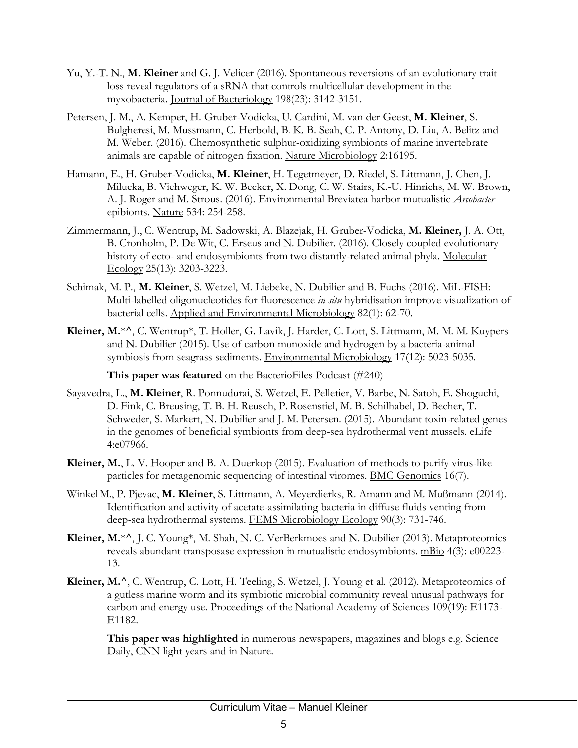- Yu, Y.-T. N., **M. Kleiner** and G. J. Velicer (2016). Spontaneous reversions of an evolutionary trait loss reveal regulators of a sRNA that controls multicellular development in the myxobacteria. Journal of Bacteriology 198(23): 3142-3151.
- Petersen, J. M., A. Kemper, H. Gruber-Vodicka, U. Cardini, M. van der Geest, **M. Kleiner**, S. Bulgheresi, M. Mussmann, C. Herbold, B. K. B. Seah, C. P. Antony, D. Liu, A. Belitz and M. Weber. (2016). Chemosynthetic sulphur-oxidizing symbionts of marine invertebrate animals are capable of nitrogen fixation. Nature Microbiology 2:16195.
- Hamann, E., H. Gruber-Vodicka, **M. Kleiner**, H. Tegetmeyer, D. Riedel, S. Littmann, J. Chen, J. Milucka, B. Viehweger, K. W. Becker, X. Dong, C. W. Stairs, K.-U. Hinrichs, M. W. Brown, A. J. Roger and M. Strous. (2016). Environmental Breviatea harbor mutualistic *Arcobacter* epibionts. Nature 534: 254-258.
- Zimmermann, J., C. Wentrup, M. Sadowski, A. Blazejak, H. Gruber-Vodicka, **M. Kleiner,** J. A. Ott, B. Cronholm, P. De Wit, C. Erseus and N. Dubilier. (2016). Closely coupled evolutionary history of ecto- and endosymbionts from two distantly-related animal phyla. Molecular Ecology 25(13): 3203-3223.
- Schimak, M. P., **M. Kleiner**, S. Wetzel, M. Liebeke, N. Dubilier and B. Fuchs (2016). MiL-FISH: Multi-labelled oligonucleotides for fluorescence *in situ* hybridisation improve visualization of bacterial cells. Applied and Environmental Microbiology 82(1): 62-70.
- **Kleiner, M.**\***^**, C. Wentrup\*, T. Holler, G. Lavik, J. Harder, C. Lott, S. Littmann, M. M. M. Kuypers and N. Dubilier (2015). Use of carbon monoxide and hydrogen by a bacteria-animal symbiosis from seagrass sediments. Environmental Microbiology 17(12): 5023-5035*.*

**This paper was featured** on the BacterioFiles Podcast (#240)

- Sayavedra, L., **M. Kleiner**, R. Ponnudurai, S. Wetzel, E. Pelletier, V. Barbe, N. Satoh, E. Shoguchi, D. Fink, C. Breusing, T. B. H. Reusch, P. Rosenstiel, M. B. Schilhabel, D. Becher, T. Schweder, S. Markert, N. Dubilier and J. M. Petersen. (2015). Abundant toxin-related genes in the genomes of beneficial symbionts from deep-sea hydrothermal vent mussels*.* eLife 4:e07966.
- **Kleiner, M.**, L. V. Hooper and B. A. Duerkop (2015). Evaluation of methods to purify virus-like particles for metagenomic sequencing of intestinal viromes. BMC Genomics 16(7).
- Winkel M., P. Pjevac, **M. Kleiner**, S. Littmann, A. Meyerdierks, R. Amann and M. Mußmann (2014). Identification and activity of acetate-assimilating bacteria in diffuse fluids venting from deep-sea hydrothermal systems. FEMS Microbiology Ecology 90(3): 731-746.
- **Kleiner, M.**\***^**, J. C. Young\*, M. Shah, N. C. VerBerkmoes and N. Dubilier (2013). Metaproteomics reveals abundant transposase expression in mutualistic endosymbionts. mBio 4(3): e00223-13.
- **Kleiner, M.^**, C. Wentrup, C. Lott, H. Teeling, S. Wetzel, J. Young et al. (2012). Metaproteomics of a gutless marine worm and its symbiotic microbial community reveal unusual pathways for carbon and energy use. Proceedings of the National Academy of Sciences 109(19): E1173- E1182.

**This paper was highlighted** in numerous newspapers, magazines and blogs e.g. Science Daily, CNN light years and in Nature.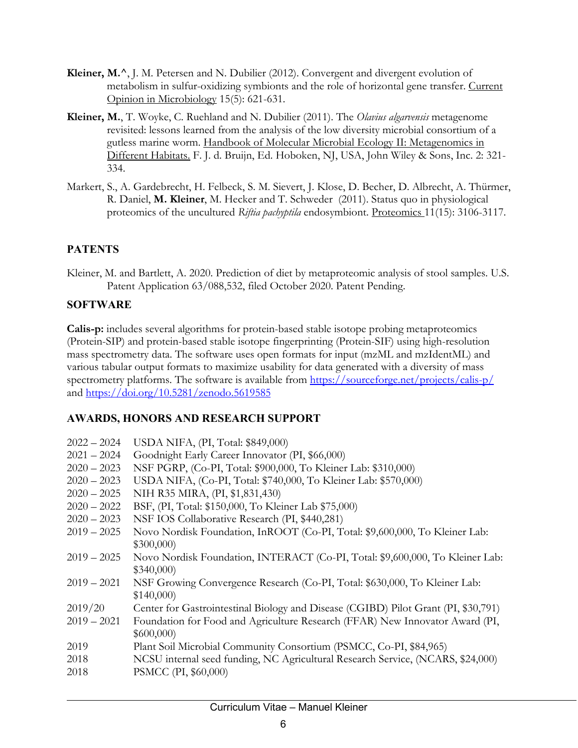- **Kleiner, M.^**, J. M. Petersen and N. Dubilier (2012). Convergent and divergent evolution of metabolism in sulfur-oxidizing symbionts and the role of horizontal gene transfer. Current Opinion in Microbiology 15(5): 621-631.
- **Kleiner, M.**, T. Woyke, C. Ruehland and N. Dubilier (2011). The *Olavius algarvensis* metagenome revisited: lessons learned from the analysis of the low diversity microbial consortium of a gutless marine worm. Handbook of Molecular Microbial Ecology II: Metagenomics in Different Habitats. F. J. d. Bruijn, Ed. Hoboken, NJ, USA, John Wiley & Sons, Inc. 2: 321- 334.
- Markert, S., A. Gardebrecht, H. Felbeck, S. M. Sievert, J. Klose, D. Becher, D. Albrecht, A. Thürmer, R. Daniel, **M. Kleiner**, M. Hecker and T. Schweder (2011). Status quo in physiological proteomics of the uncultured *Riftia pachyptila* endosymbiont. Proteomics 11(15): 3106-3117.

### **PATENTS**

Kleiner, M. and Bartlett, A. 2020. Prediction of diet by metaproteomic analysis of stool samples. U.S. Patent Application 63/088,532, filed October 2020. Patent Pending.

#### **SOFTWARE**

**Calis-p:** includes several algorithms for protein-based stable isotope probing metaproteomics (Protein-SIP) and protein-based stable isotope fingerprinting (Protein-SIF) using high-resolution mass spectrometry data. The software uses open formats for input (mzML and mzIdentML) and various tabular output formats to maximize usability for data generated with a diversity of mass spectrometry platforms. The software is available from <https://sourceforge.net/projects/calis-p/> and<https://doi.org/10.5281/zenodo.5619585>

#### **AWARDS, HONORS AND RESEARCH SUPPORT**

| $2022 - 2024$ | USDA NIFA, (PI, Total: \$849,000)                                                  |
|---------------|------------------------------------------------------------------------------------|
| $2021 - 2024$ | Goodnight Early Career Innovator (PI, \$66,000)                                    |
| $2020 - 2023$ | NSF PGRP, (Co-PI, Total: \$900,000, To Kleiner Lab: \$310,000)                     |
| $2020 - 2023$ | USDA NIFA, (Co-PI, Total: \$740,000, To Kleiner Lab: \$570,000)                    |
| $2020 - 2025$ | NIH R35 MIRA, (PI, \$1,831,430)                                                    |
| $2020 - 2022$ | BSF, (PI, Total: \$150,000, To Kleiner Lab \$75,000)                               |
| $2020 - 2023$ | NSF IOS Collaborative Research (PI, \$440,281)                                     |
| $2019 - 2025$ | Novo Nordisk Foundation, InROOT (Co-PI, Total: \$9,600,000, To Kleiner Lab:        |
|               | \$300,000                                                                          |
| $2019 - 2025$ | Novo Nordisk Foundation, INTERACT (Co-PI, Total: \$9,600,000, To Kleiner Lab:      |
|               | \$340,000                                                                          |
| $2019 - 2021$ | NSF Growing Convergence Research (Co-PI, Total: \$630,000, To Kleiner Lab:         |
|               | \$140,000                                                                          |
| 2019/20       | Center for Gastrointestinal Biology and Disease (CGIBD) Pilot Grant (PI, \$30,791) |
| $2019 - 2021$ | Foundation for Food and Agriculture Research (FFAR) New Innovator Award (PI,       |
|               | \$600,000                                                                          |
| 2019          | Plant Soil Microbial Community Consortium (PSMCC, Co-PI, \$84,965)                 |
| 2018          | NCSU internal seed funding, NC Agricultural Research Service, (NCARS, \$24,000)    |
| 2018          | PSMCC (PI, \$60,000)                                                               |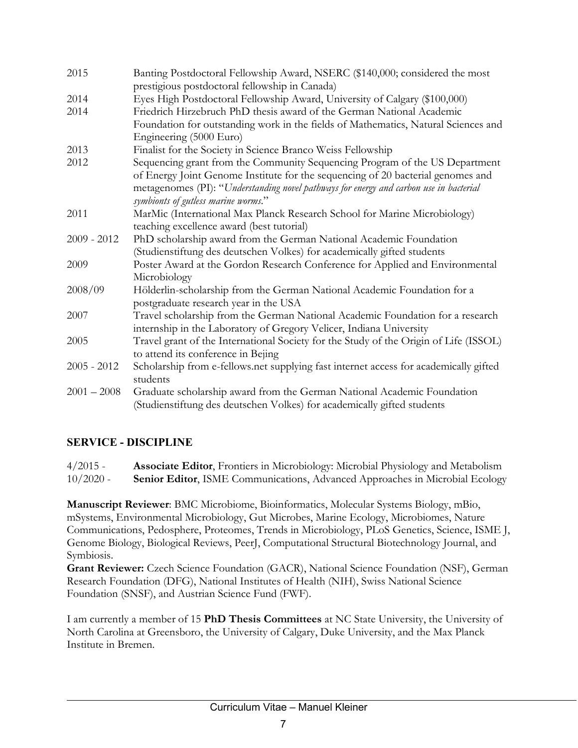| 2015          | Banting Postdoctoral Fellowship Award, NSERC (\$140,000; considered the most<br>prestigious postdoctoral fellowship in Canada)                                            |
|---------------|---------------------------------------------------------------------------------------------------------------------------------------------------------------------------|
| 2014          | Eyes High Postdoctoral Fellowship Award, University of Calgary (\$100,000)                                                                                                |
| 2014          | Friedrich Hirzebruch PhD thesis award of the German National Academic                                                                                                     |
|               |                                                                                                                                                                           |
|               | Foundation for outstanding work in the fields of Mathematics, Natural Sciences and<br>Engineering (5000 Euro)                                                             |
| 2013          | Finalist for the Society in Science Branco Weiss Fellowship                                                                                                               |
| 2012          | Sequencing grant from the Community Sequencing Program of the US Department                                                                                               |
|               | of Energy Joint Genome Institute for the sequencing of 20 bacterial genomes and<br>metagenomes (PI): "Understanding novel pathways for energy and carbon use in bacterial |
|               | symbionts of gutless marine worms."                                                                                                                                       |
| 2011          | MarMic (International Max Planck Research School for Marine Microbiology)                                                                                                 |
|               | teaching excellence award (best tutorial)                                                                                                                                 |
| $2009 - 2012$ | PhD scholarship award from the German National Academic Foundation                                                                                                        |
|               | (Studienstiftung des deutschen Volkes) for academically gifted students                                                                                                   |
| 2009          | Poster Award at the Gordon Research Conference for Applied and Environmental                                                                                              |
|               | Microbiology                                                                                                                                                              |
| 2008/09       | Hölderlin-scholarship from the German National Academic Foundation for a<br>postgraduate research year in the USA                                                         |
| 2007          | Travel scholarship from the German National Academic Foundation for a research                                                                                            |
|               | internship in the Laboratory of Gregory Velicer, Indiana University                                                                                                       |
| 2005          | Travel grant of the International Society for the Study of the Origin of Life (ISSOL)                                                                                     |
|               | to attend its conference in Bejing                                                                                                                                        |
| $2005 - 2012$ | Scholarship from e-fellows.net supplying fast internet access for academically gifted                                                                                     |
|               | students                                                                                                                                                                  |
| $2001 - 2008$ | Graduate scholarship award from the German National Academic Foundation<br>(Studienstiftung des deutschen Volkes) for academically gifted students                        |

### **SERVICE - DISCIPLINE**

4/2015 - **Associate Editor**, Frontiers in Microbiology: Microbial Physiology and Metabolism 10/2020 - **Senior Editor**, ISME Communications, Advanced Approaches in Microbial Ecology

**Manuscript Reviewer**: BMC Microbiome, Bioinformatics, Molecular Systems Biology, mBio, mSystems, Environmental Microbiology, Gut Microbes, Marine Ecology, Microbiomes, Nature Communications, Pedosphere, Proteomes, Trends in Microbiology, PLoS Genetics, Science, ISME J, Genome Biology, Biological Reviews, PeerJ, Computational Structural Biotechnology Journal, and Symbiosis.

**Grant Reviewer:** Czech Science Foundation (GACR), National Science Foundation (NSF), German Research Foundation (DFG), National Institutes of Health (NIH), Swiss National Science Foundation (SNSF), and Austrian Science Fund (FWF).

I am currently a member of 15 **PhD Thesis Committees** at NC State University, the University of North Carolina at Greensboro, the University of Calgary, Duke University, and the Max Planck Institute in Bremen.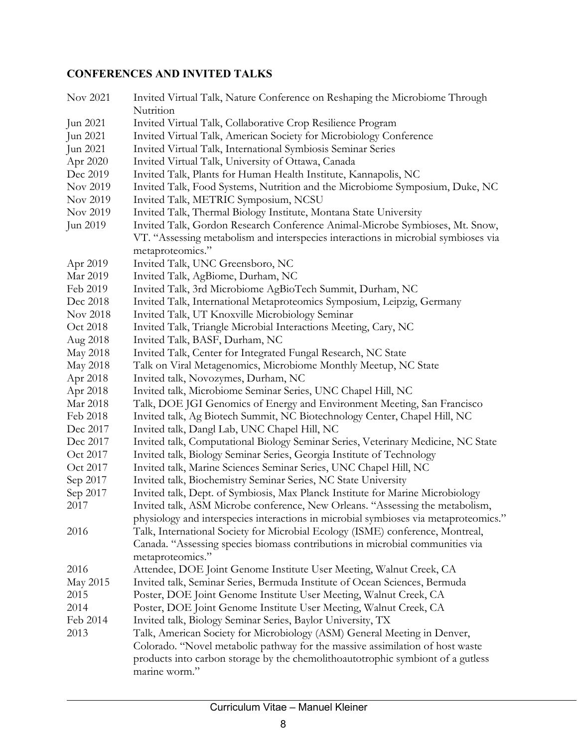## **CONFERENCES AND INVITED TALKS**

| Nov 2021 | Invited Virtual Talk, Nature Conference on Reshaping the Microbiome Through<br>Nutrition |
|----------|------------------------------------------------------------------------------------------|
| Jun 2021 | Invited Virtual Talk, Collaborative Crop Resilience Program                              |
| Jun 2021 | Invited Virtual Talk, American Society for Microbiology Conference                       |
| Jun 2021 | Invited Virtual Talk, International Symbiosis Seminar Series                             |
| Apr 2020 | Invited Virtual Talk, University of Ottawa, Canada                                       |
| Dec 2019 | Invited Talk, Plants for Human Health Institute, Kannapolis, NC                          |
| Nov 2019 | Invited Talk, Food Systems, Nutrition and the Microbiome Symposium, Duke, NC             |
| Nov 2019 | Invited Talk, METRIC Symposium, NCSU                                                     |
| Nov 2019 | Invited Talk, Thermal Biology Institute, Montana State University                        |
| Jun 2019 | Invited Talk, Gordon Research Conference Animal-Microbe Symbioses, Mt. Snow,             |
|          | VT. "Assessing metabolism and interspecies interactions in microbial symbioses via       |
|          | metaproteomics."                                                                         |
| Apr 2019 | Invited Talk, UNC Greensboro, NC                                                         |
| Mar 2019 | Invited Talk, AgBiome, Durham, NC                                                        |
| Feb 2019 | Invited Talk, 3rd Microbiome AgBioTech Summit, Durham, NC                                |
| Dec 2018 | Invited Talk, International Metaproteomics Symposium, Leipzig, Germany                   |
| Nov 2018 | Invited Talk, UT Knoxville Microbiology Seminar                                          |
| Oct 2018 | Invited Talk, Triangle Microbial Interactions Meeting, Cary, NC                          |
| Aug 2018 | Invited Talk, BASF, Durham, NC                                                           |
| May 2018 | Invited Talk, Center for Integrated Fungal Research, NC State                            |
| May 2018 | Talk on Viral Metagenomics, Microbiome Monthly Meetup, NC State                          |
| Apr 2018 | Invited talk, Novozymes, Durham, NC                                                      |
| Apr 2018 | Invited talk, Microbiome Seminar Series, UNC Chapel Hill, NC                             |
| Mar 2018 | Talk, DOE JGI Genomics of Energy and Environment Meeting, San Francisco                  |
| Feb 2018 | Invited talk, Ag Biotech Summit, NC Biotechnology Center, Chapel Hill, NC                |
| Dec 2017 | Invited talk, Dangl Lab, UNC Chapel Hill, NC                                             |
| Dec 2017 | Invited talk, Computational Biology Seminar Series, Veterinary Medicine, NC State        |
| Oct 2017 | Invited talk, Biology Seminar Series, Georgia Institute of Technology                    |
| Oct 2017 | Invited talk, Marine Sciences Seminar Series, UNC Chapel Hill, NC                        |
| Sep 2017 | Invited talk, Biochemistry Seminar Series, NC State University                           |
| Sep 2017 | Invited talk, Dept. of Symbiosis, Max Planck Institute for Marine Microbiology           |
| 2017     | Invited talk, ASM Microbe conference, New Orleans. "Assessing the metabolism,            |
|          | physiology and interspecies interactions in microbial symbioses via metaproteomics."     |
| 2016     | Talk, International Society for Microbial Ecology (ISME) conference, Montreal,           |
|          | Canada. "Assessing species biomass contributions in microbial communities via            |
|          | metaproteomics."                                                                         |
| 2016     | Attendee, DOE Joint Genome Institute User Meeting, Walnut Creek, CA                      |
| May 2015 | Invited talk, Seminar Series, Bermuda Institute of Ocean Sciences, Bermuda               |
| 2015     | Poster, DOE Joint Genome Institute User Meeting, Walnut Creek, CA                        |
| 2014     | Poster, DOE Joint Genome Institute User Meeting, Walnut Creek, CA                        |
| Feb 2014 | Invited talk, Biology Seminar Series, Baylor University, TX                              |
| 2013     | Talk, American Society for Microbiology (ASM) General Meeting in Denver,                 |
|          | Colorado. "Novel metabolic pathway for the massive assimilation of host waste            |
|          | products into carbon storage by the chemolithoautotrophic symbiont of a gutless          |
|          | marine worm."                                                                            |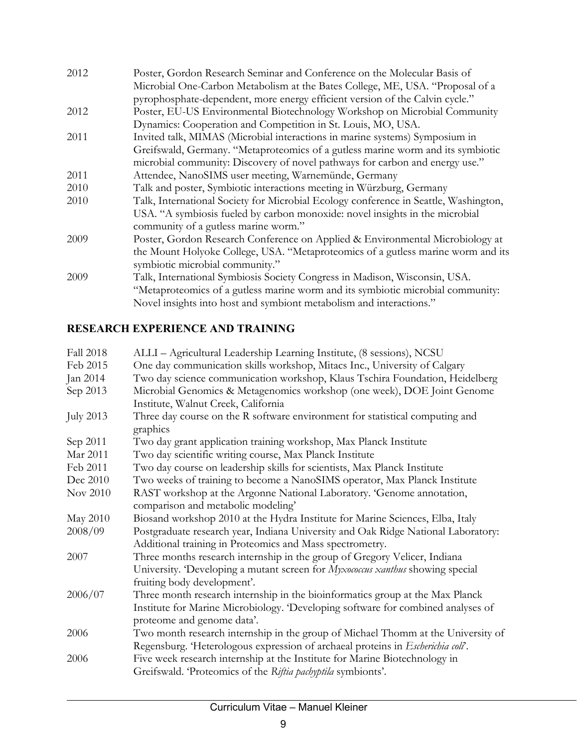| 2012 | Poster, Gordon Research Seminar and Conference on the Molecular Basis of             |
|------|--------------------------------------------------------------------------------------|
|      | Microbial One-Carbon Metabolism at the Bates College, ME, USA. "Proposal of a        |
|      | pyrophosphate-dependent, more energy efficient version of the Calvin cycle."         |
| 2012 | Poster, EU-US Environmental Biotechnology Workshop on Microbial Community            |
|      | Dynamics: Cooperation and Competition in St. Louis, MO, USA.                         |
| 2011 | Invited talk, MIMAS (Microbial interactions in marine systems) Symposium in          |
|      | Greifswald, Germany. "Metaproteomics of a gutless marine worm and its symbiotic      |
|      | microbial community: Discovery of novel pathways for carbon and energy use."         |
| 2011 | Attendee, NanoSIMS user meeting, Warnemünde, Germany                                 |
| 2010 | Talk and poster, Symbiotic interactions meeting in Würzburg, Germany                 |
| 2010 | Talk, International Society for Microbial Ecology conference in Seattle, Washington, |
|      | USA. "A symbiosis fueled by carbon monoxide: novel insights in the microbial         |
|      | community of a gutless marine worm."                                                 |
| 2009 | Poster, Gordon Research Conference on Applied & Environmental Microbiology at        |
|      | the Mount Holyoke College, USA. "Metaproteomics of a gutless marine worm and its     |
|      | symbiotic microbial community."                                                      |
| 2009 | Talk, International Symbiosis Society Congress in Madison, Wisconsin, USA.           |
|      | "Metaproteomics of a gutless marine worm and its symbiotic microbial community:      |
|      | Novel insights into host and symbiont metabolism and interactions."                  |

### **RESEARCH EXPERIENCE AND TRAINING**

| Fall 2018        | ALLI - Agricultural Leadership Learning Institute, (8 sessions), NCSU                                                                                                                          |
|------------------|------------------------------------------------------------------------------------------------------------------------------------------------------------------------------------------------|
| Feb 2015         | One day communication skills workshop, Mitacs Inc., University of Calgary                                                                                                                      |
| Jan 2014         | Two day science communication workshop, Klaus Tschira Foundation, Heidelberg                                                                                                                   |
| Sep 2013         | Microbial Genomics & Metagenomics workshop (one week), DOE Joint Genome<br>Institute, Walnut Creek, California                                                                                 |
| <b>July 2013</b> | Three day course on the R software environment for statistical computing and<br>graphics                                                                                                       |
| Sep 2011         | Two day grant application training workshop, Max Planck Institute                                                                                                                              |
| Mar 2011         | Two day scientific writing course, Max Planck Institute                                                                                                                                        |
| Feb 2011         | Two day course on leadership skills for scientists, Max Planck Institute                                                                                                                       |
| Dec 2010         | Two weeks of training to become a NanoSIMS operator, Max Planck Institute                                                                                                                      |
| Nov 2010         | RAST workshop at the Argonne National Laboratory. 'Genome annotation,<br>comparison and metabolic modeling'                                                                                    |
| May 2010         | Biosand workshop 2010 at the Hydra Institute for Marine Sciences, Elba, Italy                                                                                                                  |
| 2008/09          | Postgraduate research year, Indiana University and Oak Ridge National Laboratory:<br>Additional training in Proteomics and Mass spectrometry.                                                  |
| 2007             | Three months research internship in the group of Gregory Velicer, Indiana                                                                                                                      |
|                  | University. 'Developing a mutant screen for Myxococcus xanthus showing special<br>fruiting body development'.                                                                                  |
| 2006/07          | Three month research internship in the bioinformatics group at the Max Planck<br>Institute for Marine Microbiology. Developing software for combined analyses of<br>proteome and genome data'. |
| 2006             | Two month research internship in the group of Michael Thomm at the University of                                                                                                               |
|                  | Regensburg. 'Heterologous expression of archaeal proteins in Escherichia coli'.                                                                                                                |
| 2006             | Five week research internship at the Institute for Marine Biotechnology in<br>Greifswald. 'Proteomics of the Riftia pachyptila symbionts'.                                                     |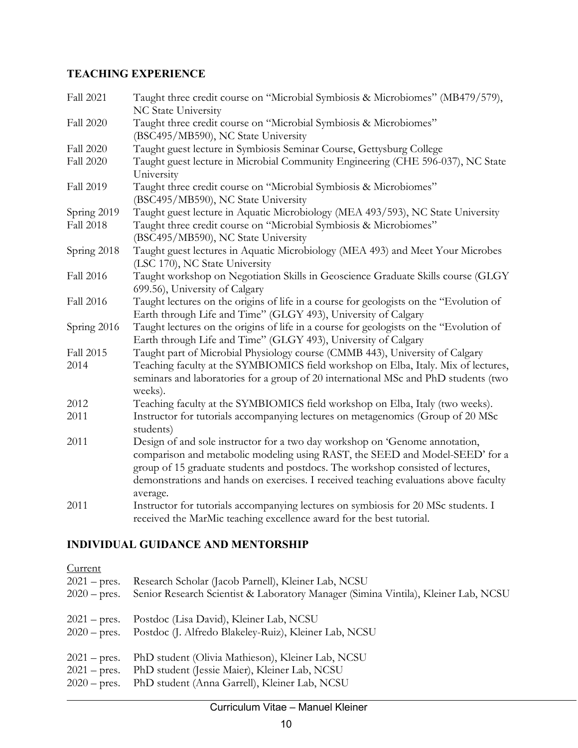### **TEACHING EXPERIENCE**

| <b>Fall 2021</b> | Taught three credit course on "Microbial Symbiosis & Microbiomes" (MB479/579),<br>NC State University |
|------------------|-------------------------------------------------------------------------------------------------------|
| Fall 2020        | Taught three credit course on "Microbial Symbiosis & Microbiomes"                                     |
|                  | (BSC495/MB590), NC State University                                                                   |
| Fall 2020        | Taught guest lecture in Symbiosis Seminar Course, Gettysburg College                                  |
| Fall 2020        | Taught guest lecture in Microbial Community Engineering (CHE 596-037), NC State<br>University         |
| Fall 2019        | Taught three credit course on "Microbial Symbiosis & Microbiomes"                                     |
|                  | (BSC495/MB590), NC State University                                                                   |
| Spring 2019      | Taught guest lecture in Aquatic Microbiology (MEA 493/593), NC State University                       |
| <b>Fall 2018</b> | Taught three credit course on "Microbial Symbiosis & Microbiomes"                                     |
|                  | (BSC495/MB590), NC State University                                                                   |
| Spring 2018      | Taught guest lectures in Aquatic Microbiology (MEA 493) and Meet Your Microbes                        |
|                  | (LSC 170), NC State University                                                                        |
| Fall 2016        | Taught workshop on Negotiation Skills in Geoscience Graduate Skills course (GLGY                      |
|                  | 699.56), University of Calgary                                                                        |
| Fall 2016        | Taught lectures on the origins of life in a course for geologists on the "Evolution of                |
|                  | Earth through Life and Time" (GLGY 493), University of Calgary                                        |
| Spring 2016      | Taught lectures on the origins of life in a course for geologists on the "Evolution of                |
|                  | Earth through Life and Time" (GLGY 493), University of Calgary                                        |
| Fall 2015        | Taught part of Microbial Physiology course (CMMB 443), University of Calgary                          |
| 2014             | Teaching faculty at the SYMBIOMICS field workshop on Elba, Italy. Mix of lectures,                    |
|                  | seminars and laboratories for a group of 20 international MSc and PhD students (two<br>weeks).        |
| 2012             | Teaching faculty at the SYMBIOMICS field workshop on Elba, Italy (two weeks).                         |
| 2011             | Instructor for tutorials accompanying lectures on metagenomics (Group of 20 MSc)                      |
|                  | students)                                                                                             |
| 2011             | Design of and sole instructor for a two day workshop on 'Genome annotation,                           |
|                  | comparison and metabolic modeling using RAST, the SEED and Model-SEED' for a                          |
|                  | group of 15 graduate students and postdocs. The workshop consisted of lectures,                       |
|                  | demonstrations and hands on exercises. I received teaching evaluations above faculty                  |
|                  | average.                                                                                              |
| 2011             | Instructor for tutorials accompanying lectures on symbiosis for 20 MSc students. I                    |
|                  | received the MarMic teaching excellence award for the best tutorial.                                  |

## **INDIVIDUAL GUIDANCE AND MENTORSHIP**

| Current<br>$2021$ – pres.<br>$2020 - \text{pres.}$ | Research Scholar (Jacob Parnell), Kleiner Lab, NCSU<br>Senior Research Scientist & Laboratory Manager (Simina Vintila), Kleiner Lab, NCSU |
|----------------------------------------------------|-------------------------------------------------------------------------------------------------------------------------------------------|
| $2021 - \text{pres.}$                              | Postdoc (Lisa David), Kleiner Lab, NCSU                                                                                                   |
| $2020 - \text{pres.}$                              | Postdoc (J. Alfredo Blakeley-Ruiz), Kleiner Lab, NCSU                                                                                     |
| $2021 - \text{pres.}$                              | PhD student (Olivia Mathieson), Kleiner Lab, NCSU                                                                                         |
| $2021$ – pres.                                     | PhD student (Jessie Maier), Kleiner Lab, NCSU                                                                                             |
| $2020 - \text{pres.}$                              | PhD student (Anna Garrell), Kleiner Lab, NCSU                                                                                             |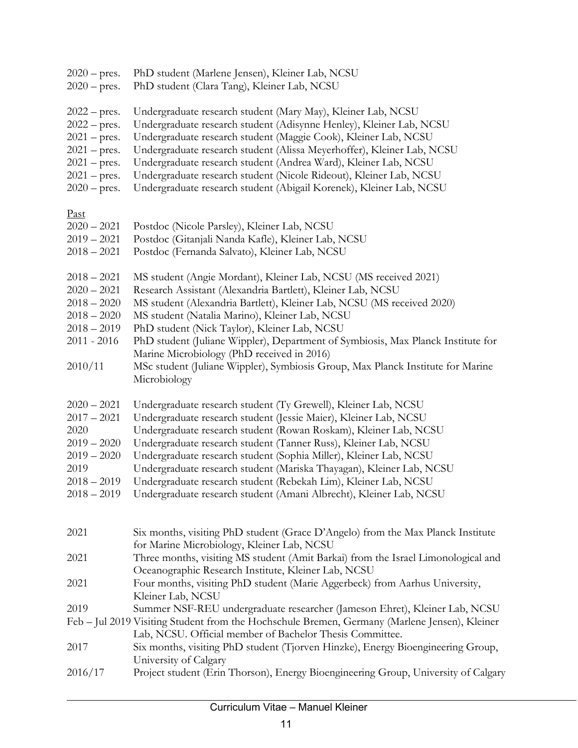| $2020 - \text{pres.}$<br>$2020 - \text{pres.}$                                                                                           | PhD student (Marlene Jensen), Kleiner Lab, NCSU<br>PhD student (Clara Tang), Kleiner Lab, NCSU                                                                                                                                                                                                                                                                                                                                                                                                                                                                              |
|------------------------------------------------------------------------------------------------------------------------------------------|-----------------------------------------------------------------------------------------------------------------------------------------------------------------------------------------------------------------------------------------------------------------------------------------------------------------------------------------------------------------------------------------------------------------------------------------------------------------------------------------------------------------------------------------------------------------------------|
| $2022 - \text{pres.}$<br>$2022$ – pres.<br>$2021$ – pres.<br>$2021$ – pres.<br>$2021$ – pres.<br>$2021$ – pres.<br>$2020 - \text{pres.}$ | Undergraduate research student (Mary May), Kleiner Lab, NCSU<br>Undergraduate research student (Adisynne Henley), Kleiner Lab, NCSU<br>Undergraduate research student (Maggie Cook), Kleiner Lab, NCSU<br>Undergraduate research student (Alissa Meyerhoffer), Kleiner Lab, NCSU<br>Undergraduate research student (Andrea Ward), Kleiner Lab, NCSU<br>Undergraduate research student (Nicole Rideout), Kleiner Lab, NCSU<br>Undergraduate research student (Abigail Korenek), Kleiner Lab, NCSU                                                                            |
| <u>Past</u><br>$2020 - 2021$<br>$2019 - 2021$<br>$2018 - 2021$                                                                           | Postdoc (Nicole Parsley), Kleiner Lab, NCSU<br>Postdoc (Gitanjali Nanda Kafle), Kleiner Lab, NCSU<br>Postdoc (Fernanda Salvato), Kleiner Lab, NCSU                                                                                                                                                                                                                                                                                                                                                                                                                          |
| $2018 - 2021$<br>$2020 - 2021$<br>$2018 - 2020$<br>$2018 - 2020$<br>$2018 - 2019$<br>2011 - 2016<br>2010/11                              | MS student (Angie Mordant), Kleiner Lab, NCSU (MS received 2021)<br>Research Assistant (Alexandria Bartlett), Kleiner Lab, NCSU<br>MS student (Alexandria Bartlett), Kleiner Lab, NCSU (MS received 2020)<br>MS student (Natalia Marino), Kleiner Lab, NCSU<br>PhD student (Nick Taylor), Kleiner Lab, NCSU<br>PhD student (Juliane Wippler), Department of Symbiosis, Max Planck Institute for<br>Marine Microbiology (PhD received in 2016)<br>MSc student (Juliane Wippler), Symbiosis Group, Max Planck Institute for Marine<br>Microbiology                            |
| $2020 - 2021$<br>$2017 - 2021$<br>2020<br>$2019 - 2020$<br>$2019 - 2020$<br>2019<br>$2018 - 2019$                                        | Undergraduate research student (Ty Grewell), Kleiner Lab, NCSU<br>Undergraduate research student (Jessie Maier), Kleiner Lab, NCSU<br>Undergraduate research student (Rowan Roskam), Kleiner Lab, NCSU<br>Undergraduate research student (Tanner Russ), Kleiner Lab, NCSU<br>Undergraduate research student (Sophia Miller), Kleiner Lab, NCSU<br>Undergraduate research student (Mariska Thayagan), Kleiner Lab, NCSU<br>Undergraduate research student (Rebekah Lim), Kleiner Lab, NCSU<br>2018 - 2019 Undergraduate research student (Amani Albrecht), Kleiner Lab, NCSU |
| 2021                                                                                                                                     | Six months, visiting PhD student (Grace D'Angelo) from the Max Planck Institute<br>for Marine Microbiology, Kleiner Lab, NCSU                                                                                                                                                                                                                                                                                                                                                                                                                                               |
| 2021                                                                                                                                     | Three months, visiting MS student (Amit Barkai) from the Israel Limonological and<br>Oceanographic Research Institute, Kleiner Lab, NCSU                                                                                                                                                                                                                                                                                                                                                                                                                                    |
| 2021                                                                                                                                     | Four months, visiting PhD student (Marie Aggerbeck) from Aarhus University,<br>Kleiner Lab, NCSU                                                                                                                                                                                                                                                                                                                                                                                                                                                                            |
| 2019                                                                                                                                     | Summer NSF-REU undergraduate researcher (Jameson Ehret), Kleiner Lab, NCSU<br>Feb - Jul 2019 Visiting Student from the Hochschule Bremen, Germany (Marlene Jensen), Kleiner                                                                                                                                                                                                                                                                                                                                                                                                 |
| 2017                                                                                                                                     | Lab, NCSU. Official member of Bachelor Thesis Committee.<br>Six months, visiting PhD student (Tjorven Hinzke), Energy Bioengineering Group,                                                                                                                                                                                                                                                                                                                                                                                                                                 |
| 2016/17                                                                                                                                  | University of Calgary<br>Project student (Erin Thorson), Energy Bioengineering Group, University of Calgary                                                                                                                                                                                                                                                                                                                                                                                                                                                                 |
|                                                                                                                                          |                                                                                                                                                                                                                                                                                                                                                                                                                                                                                                                                                                             |